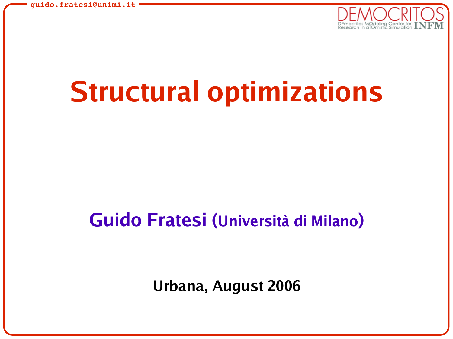

# **Structural optimizations**

### **Guido Fratesi (Università di Milano)**

**Urbana, August 2006**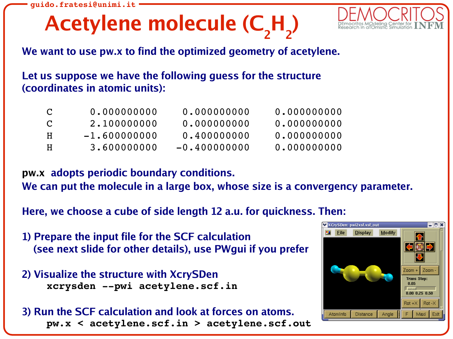### **Acetylene molecule (C<sup>2</sup> H2 )**



**We want to use pw.x to find the optimized geometry of acetylene.**

**Let us suppose we have the following guess for the structure (coordinates in atomic units):**

| C            | 0.000000000    | 0.000000000    | 0.000000000 |
|--------------|----------------|----------------|-------------|
| $\mathbf{C}$ | 2.100000000    | 0.000000000    | 0.000000000 |
| H            | $-1.600000000$ | 0.400000000    | 0.000000000 |
| H            | 3.600000000    | $-0.400000000$ | 0.000000000 |

**pw.x adopts periodic boundary conditions.**

**We can put the molecule in a large box, whose size is a convergency parameter.**

**Here, we choose a cube of side length 12 a.u. for quickness. Then:**

- **1) Prepare the input file for the SCF calculation (see next slide for other details), use PWgui if you prefer**
- **2) Visualize the structure with XcrySDen xcrysden pwi acetylene.scf.in**

#### **3) Run the SCF calculation and look at forces on atoms. pw.x < acetylene.scf.in > acetylene.scf.out**

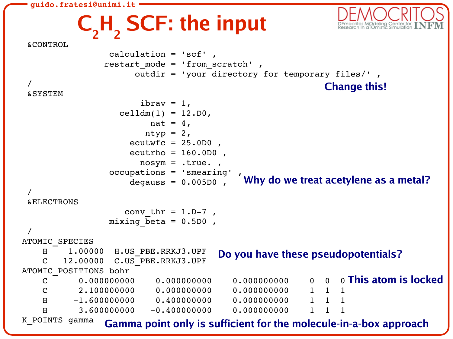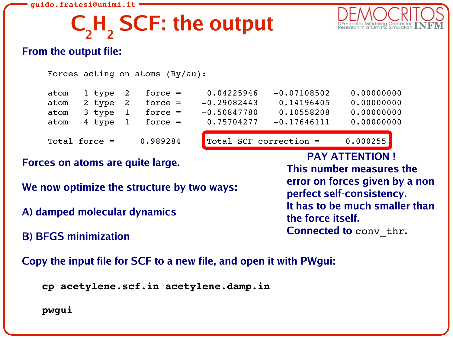### **C2 H2 SCF: the output**



#### **From the output file:**



**cp acetylene.scf.in acetylene.damp.in**

**pwgui**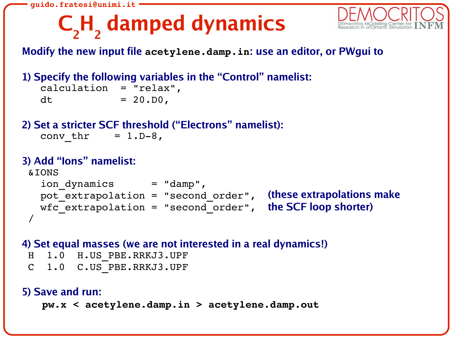### **C2 H2 damped dynamics**



**Modify the new input file acetylene.damp.in: use an editor, or PWgui to**

```
1) Specify the following variables in the "Control" namelist:
   calculation = "relax",
   dt = 20.00,2) Set a stricter SCF threshold ("Electrons" namelist):
   conv thr = 1.D-8,
3) Add "Ions" namelist:
 &IONS
   ion dynamics = "damp",
   pot_extrapolation = "second_order",
(these extrapolations make
```
**4) Set equal masses (we are not interested in a real dynamics!)**

wfc\_extrapolation = "second\_order", **the SCF loop shorter)**

```
H 1.0 H.US PBE.RRKJ3.UPF
```
C 1.0 C.US\_PBE.RRKJ3.UPF

#### **5) Save and run:**

/

```
pw.x < acetylene.damp.in > acetylene.damp.out
```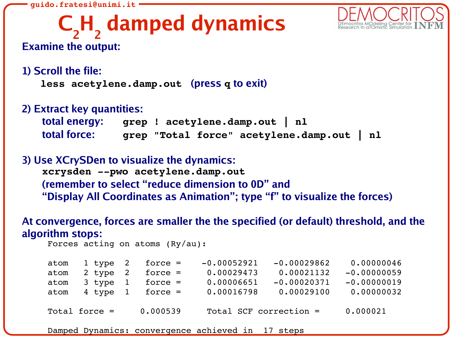### **C2 H2 damped dynamics**



**Examine the output:**

**1) Scroll the file: less acetylene.damp.out (press q to exit)**

**2) Extract key quantities: total energy: grep ! acetylene.damp.out | nl total force: grep "Total force" acetylene.damp.out | nl**

**3) Use XCrySDen to visualize the dynamics: xcrysden pwo acetylene.damp.out (remember to select "reduce dimension to 0D" and "Display All Coordinates as Animation"; type "f" to visualize the forces)**

**At convergence, forces are smaller the the specified (or default) threshold, and the algorithm stops:**

Forces acting on atoms (Ry/au):

| atom | 1 type 2      |                | $force =$ | $-0.00052921$          | $-0.00029862$ | 0.00000046    |
|------|---------------|----------------|-----------|------------------------|---------------|---------------|
| atom | 2 type        | $\overline{2}$ | $force =$ | 0.00029473             | 0.00021132    | $-0.00000059$ |
| atom | 3 type        | $\overline{1}$ | $force =$ | 0.00006651             | $-0.00020371$ | $-0.00000019$ |
| atom | 4 type 1      |                | $force =$ | 0.00016798             | 0.00029100    | 0.00000032    |
|      | Total force = |                | 0.000539  | Total SCF correction = |               | 0.000021      |
|      |               |                |           |                        |               |               |

Damped Dynamics: convergence achieved in 17 steps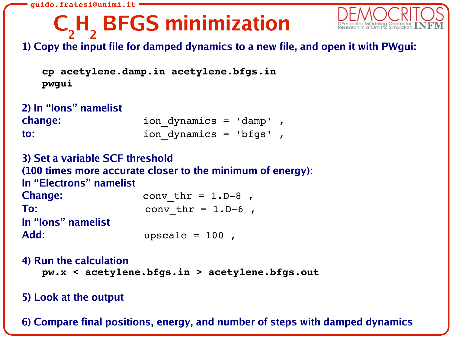## **C2 H2 BFGS minimization**

**1) Copy the input file for damped dynamics to a new file, and open it with PWgui:**

**cp acetylene.damp.in acetylene.bfgs.in pwgui**

| 2) In "Ions" namelist |                           |  |
|-----------------------|---------------------------|--|
| change:               | ion dynamics = $damp'$ ,  |  |
| to:                   | ion dynamics = $'bf{s}$ , |  |

**3) Set a variable SCF threshold (100 times more accurate closer to the minimum of energy): In "Electrons" namelist Change:** conv thr = 1.D-8 , **To:** conv thr = 1.D-6 , **In "Ions" namelist Add:** upscale = 100 ,

**4) Run the calculation pw.x < acetylene.bfgs.in > acetylene.bfgs.out**

### **5) Look at the output**

**6) Compare final positions, energy, and number of steps with damped dynamics**